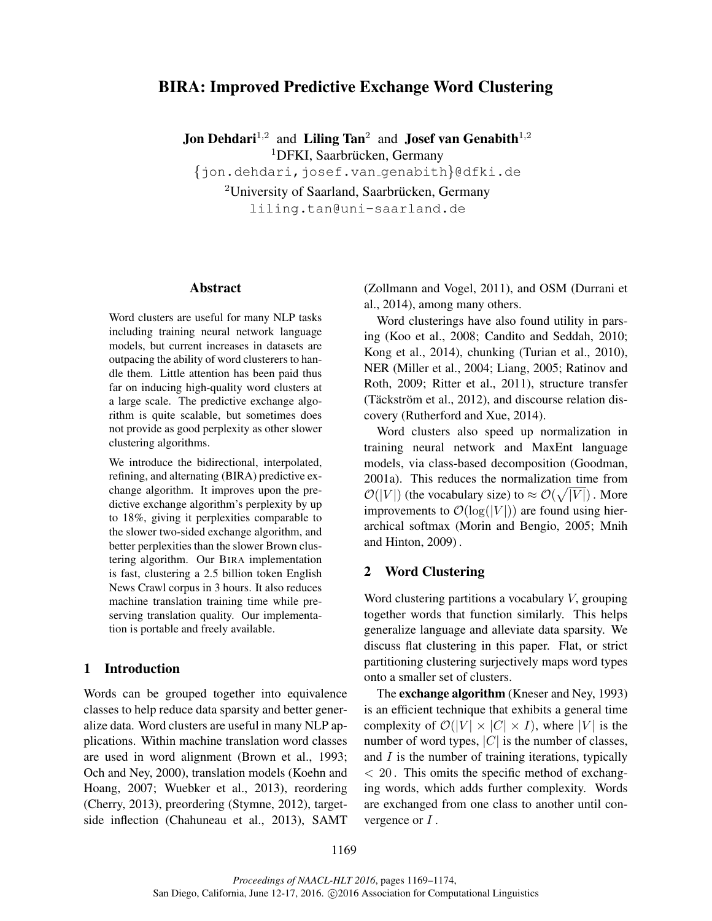# BIRA: Improved Predictive Exchange Word Clustering

**Jon Dehdari**<sup>1,2</sup> and Liling Tan<sup>2</sup> and **Josef van Genabith**<sup>1,2</sup>

<sup>1</sup>DFKI, Saarbrücken, Germany

{jon.dehdari,josef.van genabith}@dfki.de

 $2$ University of Saarland, Saarbrücken, Germany liling.tan@uni-saarland.de

#### Abstract

Word clusters are useful for many NLP tasks including training neural network language models, but current increases in datasets are outpacing the ability of word clusterers to handle them. Little attention has been paid thus far on inducing high-quality word clusters at a large scale. The predictive exchange algorithm is quite scalable, but sometimes does not provide as good perplexity as other slower clustering algorithms.

We introduce the bidirectional, interpolated, refining, and alternating (BIRA) predictive exchange algorithm. It improves upon the predictive exchange algorithm's perplexity by up to 18%, giving it perplexities comparable to the slower two-sided exchange algorithm, and better perplexities than the slower Brown clustering algorithm. Our BIRA implementation is fast, clustering a 2.5 billion token English News Crawl corpus in 3 hours. It also reduces machine translation training time while preserving translation quality. Our implementation is portable and freely available.

### 1 Introduction

Words can be grouped together into equivalence classes to help reduce data sparsity and better generalize data. Word clusters are useful in many NLP applications. Within machine translation word classes are used in word alignment (Brown et al., 1993; Och and Ney, 2000), translation models (Koehn and Hoang, 2007; Wuebker et al., 2013), reordering (Cherry, 2013), preordering (Stymne, 2012), targetside inflection (Chahuneau et al., 2013), SAMT (Zollmann and Vogel, 2011), and OSM (Durrani et al., 2014), among many others.

Word clusterings have also found utility in parsing (Koo et al., 2008; Candito and Seddah, 2010; Kong et al., 2014), chunking (Turian et al., 2010), NER (Miller et al., 2004; Liang, 2005; Ratinov and Roth, 2009; Ritter et al., 2011), structure transfer (Täckström et al.,  $2012$ ), and discourse relation discovery (Rutherford and Xue, 2014).

Word clusters also speed up normalization in training neural network and MaxEnt language models, via class-based decomposition (Goodman, 2001a). This reduces the normalization time from  $\mathcal{O}(|V|)$  (the vocabulary size) to  $\approx \mathcal{O}(\sqrt{|V|})$ . More improvements to  $\mathcal{O}(\log(|V|))$  are found using hierarchical softmax (Morin and Bengio, 2005; Mnih and Hinton, 2009) .

# 2 Word Clustering

Word clustering partitions a vocabulary V, grouping together words that function similarly. This helps generalize language and alleviate data sparsity. We discuss flat clustering in this paper. Flat, or strict partitioning clustering surjectively maps word types onto a smaller set of clusters.

The **exchange algorithm** (Kneser and Ney, 1993) is an efficient technique that exhibits a general time complexity of  $\mathcal{O}(|V| \times |C| \times I)$ , where |V| is the number of word types,  $|C|$  is the number of classes, and  $I$  is the number of training iterations, typically  $<$  20. This omits the specific method of exchanging words, which adds further complexity. Words are exchanged from one class to another until convergence or  $I$ .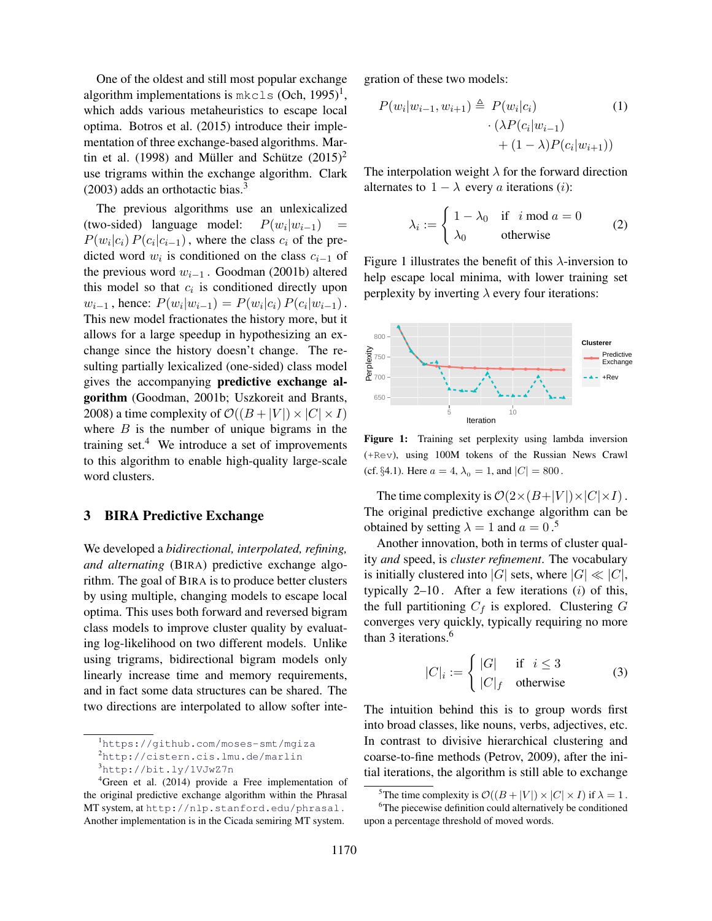One of the oldest and still most popular exchange algorithm implementations is  $mkcls$  (Och, 1995)<sup>1</sup>, which adds various metaheuristics to escape local optima. Botros et al. (2015) introduce their implementation of three exchange-based algorithms. Martin et al. (1998) and Müller and Schütze  $(2015)^2$ use trigrams within the exchange algorithm. Clark  $(2003)$  adds an orthotactic bias.<sup>3</sup>

The previous algorithms use an unlexicalized (two-sided) language model:  $P(w_i|w_{i-1})$  =  $P(w_i|c_i) P(c_i|c_{i-1})$ , where the class  $c_i$  of the predicted word  $w_i$  is conditioned on the class  $c_{i-1}$  of the previous word  $w_{i-1}$ . Goodman (2001b) altered this model so that  $c_i$  is conditioned directly upon  $w_{i-1}$ , hence:  $P(w_i|w_{i-1}) = P(w_i|c_i) P(c_i|w_{i-1})$ . This new model fractionates the history more, but it allows for a large speedup in hypothesizing an exchange since the history doesn't change. The resulting partially lexicalized (one-sided) class model gives the accompanying predictive exchange algorithm (Goodman, 2001b; Uszkoreit and Brants, 2008) a time complexity of  $\mathcal{O}((B+|V|) \times |C| \times I)$ where  $B$  is the number of unique bigrams in the training set. $4$  We introduce a set of improvements to this algorithm to enable high-quality large-scale word clusters.

# 3 BIRA Predictive Exchange

We developed a *bidirectional, interpolated, refining, and alternating* (BIRA) predictive exchange algorithm. The goal of BIRA is to produce better clusters by using multiple, changing models to escape local optima. This uses both forward and reversed bigram class models to improve cluster quality by evaluating log-likelihood on two different models. Unlike using trigrams, bidirectional bigram models only linearly increase time and memory requirements, and in fact some data structures can be shared. The two directions are interpolated to allow softer integration of these two models:

$$
P(w_i|w_{i-1}, w_{i+1}) \triangleq P(w_i|c_i)
$$
\n
$$
\cdot (\lambda P(c_i|w_{i-1}) + (1 - \lambda)P(c_i|w_{i+1}))
$$
\n
$$
(1)
$$

The interpolation weight  $\lambda$  for the forward direction alternates to  $1 - \lambda$  every a iterations (i):

$$
\lambda_i := \begin{cases} 1 - \lambda_0 & \text{if } i \text{ mod } a = 0 \\ \lambda_0 & \text{otherwise} \end{cases}
$$
 (2)

Figure 1 illustrates the benefit of this  $\lambda$ -inversion to help escape local minima, with lower training set perplexity by inverting  $\lambda$  every four iterations:



Figure 1: Training set perplexity using lambda inversion (+Rev), using 100M tokens of the Russian News Crawl (cf. §4.1). Here  $a = 4$ ,  $\lambda_0 = 1$ , and  $|C| = 800$ .

The time complexity is  $\mathcal{O}(2 \times (B+|V|) \times |C| \times I)$ . The original predictive exchange algorithm can be obtained by setting  $\lambda = 1$  and  $a = 0$ .<sup>5</sup>

Another innovation, both in terms of cluster quality *and* speed, is *cluster refinement*. The vocabulary is initially clustered into  $|G|$  sets, where  $|G| \ll |C|$ , typically  $2-10$ . After a few iterations  $(i)$  of this, the full partitioning  $C_f$  is explored. Clustering  $G$ converges very quickly, typically requiring no more than 3 iterations.<sup>6</sup>

$$
|C|_i := \begin{cases} |G| & \text{if } i \le 3\\ |C|_f & \text{otherwise} \end{cases}
$$
 (3)

The intuition behind this is to group words first into broad classes, like nouns, verbs, adjectives, etc. In contrast to divisive hierarchical clustering and coarse-to-fine methods (Petrov, 2009), after the initial iterations, the algorithm is still able to exchange

<sup>1</sup>https://github.com/moses-smt/mgiza <sup>2</sup>http://cistern.cis.lmu.de/marlin

<sup>3</sup>http://bit.ly/1VJwZ7n

<sup>&</sup>lt;sup>4</sup>Green et al. (2014) provide a Free implementation of the original predictive exchange algorithm within the Phrasal MT system, at http://nlp.stanford.edu/phrasal . Another implementation is in the Cicada semiring MT system.

<sup>&</sup>lt;sup>5</sup>The time complexity is  $\mathcal{O}((B+|V|) \times |C| \times I)$  if  $\lambda = 1$ .

<sup>&</sup>lt;sup>6</sup>The piecewise definition could alternatively be conditioned upon a percentage threshold of moved words.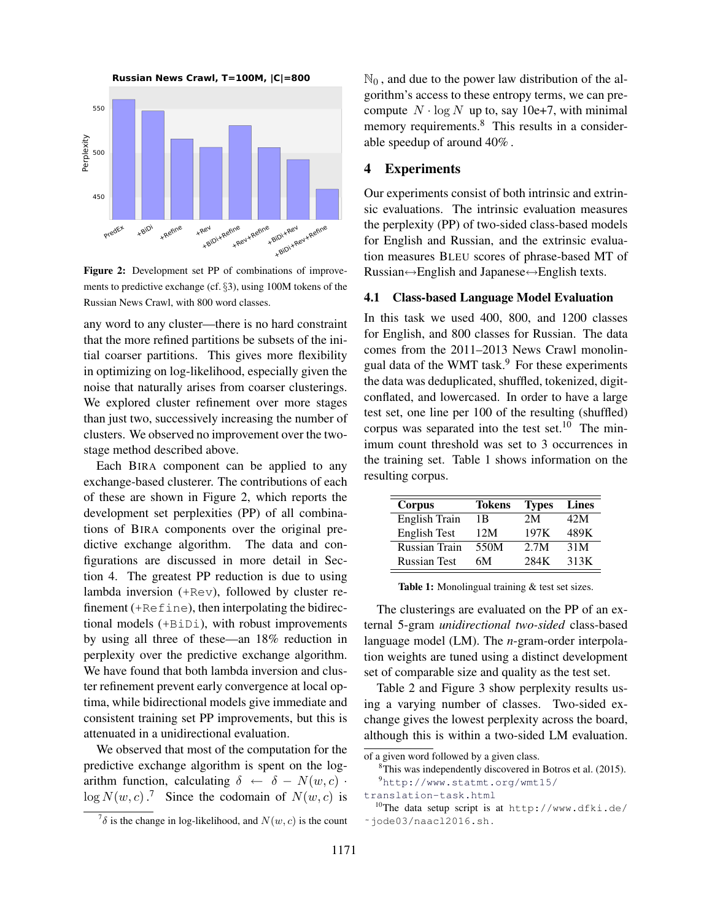

Figure 2: Development set PP of combinations of improvements to predictive exchange (cf. §3), using 100M tokens of the Russian News Crawl, with 800 word classes.

any word to any cluster—there is no hard constraint that the more refined partitions be subsets of the initial coarser partitions. This gives more flexibility in optimizing on log-likelihood, especially given the noise that naturally arises from coarser clusterings. We explored cluster refinement over more stages than just two, successively increasing the number of clusters. We observed no improvement over the twostage method described above.

Each BIRA component can be applied to any exchange-based clusterer. The contributions of each of these are shown in Figure 2, which reports the development set perplexities (PP) of all combinations of BIRA components over the original predictive exchange algorithm. The data and configurations are discussed in more detail in Section 4. The greatest PP reduction is due to using lambda inversion (+Rev), followed by cluster refinement (+Refine), then interpolating the bidirectional models (+BiDi), with robust improvements by using all three of these—an 18% reduction in perplexity over the predictive exchange algorithm. We have found that both lambda inversion and cluster refinement prevent early convergence at local optima, while bidirectional models give immediate and consistent training set PP improvements, but this is attenuated in a unidirectional evaluation.

We observed that most of the computation for the predictive exchange algorithm is spent on the logarithm function, calculating  $\delta \leftarrow \delta - N(w, c)$ .  $\log N(w, c)$ .<sup>7</sup> Since the codomain of  $N(w, c)$  is

 $\mathbb{N}_0$ , and due to the power law distribution of the algorithm's access to these entropy terms, we can precompute  $N \cdot \log N$  up to, say 10e+7, with minimal memory requirements.<sup>8</sup> This results in a considerable speedup of around 40% .

# 4 Experiments

Our experiments consist of both intrinsic and extrinsic evaluations. The intrinsic evaluation measures the perplexity (PP) of two-sided class-based models for English and Russian, and the extrinsic evaluation measures BLEU scores of phrase-based MT of Russian↔English and Japanese↔English texts.

#### 4.1 Class-based Language Model Evaluation

In this task we used 400, 800, and 1200 classes for English, and 800 classes for Russian. The data comes from the 2011–2013 News Crawl monolingual data of the WMT task.<sup>9</sup> For these experiments the data was deduplicated, shuffled, tokenized, digitconflated, and lowercased. In order to have a large test set, one line per 100 of the resulting (shuffled) corpus was separated into the test set.<sup>10</sup> The minimum count threshold was set to 3 occurrences in the training set. Table 1 shows information on the resulting corpus.

| Corpus              | <b>Tokens</b> | <b>Types</b> | <b>Lines</b> |
|---------------------|---------------|--------------|--------------|
| English Train       | 1 B           | 2M           | 42M          |
| <b>English Test</b> | 12M           | 197K         | 489K         |
| Russian Train       | 550M          | 2.7M         | 31M          |
| <b>Russian Test</b> | 6М            | 284K         | 313K         |

Table 1: Monolingual training & test set sizes.

The clusterings are evaluated on the PP of an external 5-gram *unidirectional two-sided* class-based language model (LM). The *n*-gram-order interpolation weights are tuned using a distinct development set of comparable size and quality as the test set.

Table 2 and Figure 3 show perplexity results using a varying number of classes. Two-sided exchange gives the lowest perplexity across the board, although this is within a two-sided LM evaluation.

 $7\delta$  is the change in log-likelihood, and  $N(w, c)$  is the count

of a given word followed by a given class.

<sup>8</sup>This was independently discovered in Botros et al. (2015). <sup>9</sup>http://www.statmt.org/wmt15/

translation-task.html <sup>10</sup>The data setup script is at http://www.dfki.de/

<sup>˜</sup>jode03/naacl2016.sh .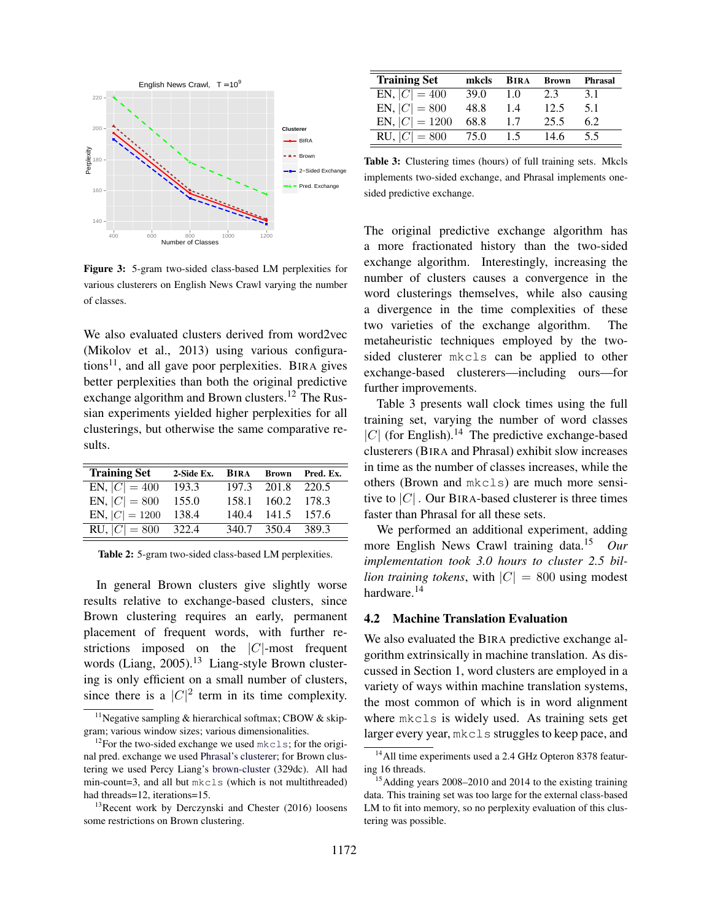

Figure 3: 5-gram two-sided class-based LM perplexities for various clusterers on English News Crawl varying the number of classes.

We also evaluated clusters derived from word2vec (Mikolov et al., 2013) using various configurations<sup>11</sup>, and all gave poor perplexities. BIRA gives better perplexities than both the original predictive exchange algorithm and Brown clusters.<sup>12</sup> The Russian experiments yielded higher perplexities for all clusterings, but otherwise the same comparative results.

| <b>Training Set</b>    | 2-Side Ex. BIRA Brown Pred. Ex. |                   |  |
|------------------------|---------------------------------|-------------------|--|
| EN, $ C  = 400$        | 193.3                           | 197.3 201.8 220.5 |  |
| EN, $ C  = 800$ 155.0  |                                 | 158.1 160.2 178.3 |  |
| EN, $ C  = 1200$ 138.4 |                                 | 140.4 141.5 157.6 |  |
| RU, $ C  = 800$ 322.4  |                                 | 340.7 350.4 389.3 |  |

Table 2: 5-gram two-sided class-based LM perplexities.

In general Brown clusters give slightly worse results relative to exchange-based clusters, since Brown clustering requires an early, permanent placement of frequent words, with further restrictions imposed on the  $|C|$ -most frequent words (Liang, 2005).<sup>13</sup> Liang-style Brown clustering is only efficient on a small number of clusters, since there is a  $|C|^2$  term in its time complexity.

| <b>Training Set</b> | mkcls | <b>BIRA</b> | <b>Brown</b> | Phrasal |
|---------------------|-------|-------------|--------------|---------|
| EN, $ C  = 400$     | 39.0  | -1.0        | 2.3          | 3.1     |
| EN, $ C  = 800$     | 48.8  | 1.4         | 12.5         | 5.1     |
| EN, $ C  = 1200$    | 68.8  | 1.7         | 25.5         | 6.2     |
| $RU,  C  = 800$     | 75.0  | 15          | 14.6         | 5.5     |

Table 3: Clustering times (hours) of full training sets. Mkcls implements two-sided exchange, and Phrasal implements onesided predictive exchange.

The original predictive exchange algorithm has a more fractionated history than the two-sided exchange algorithm. Interestingly, increasing the number of clusters causes a convergence in the word clusterings themselves, while also causing a divergence in the time complexities of these two varieties of the exchange algorithm. The metaheuristic techniques employed by the twosided clusterer mkcls can be applied to other exchange-based clusterers—including ours—for further improvements.

Table 3 presents wall clock times using the full training set, varying the number of word classes | $C$ | (for English).<sup>14</sup> The predictive exchange-based clusterers (BIRA and Phrasal) exhibit slow increases in time as the number of classes increases, while the others (Brown and mkcls) are much more sensitive to  $|C|$ . Our BIRA-based clusterer is three times faster than Phrasal for all these sets.

We performed an additional experiment, adding more English News Crawl training data.<sup>15</sup> *Our implementation took 3.0 hours to cluster 2.5 billion training tokens*, with  $|C| = 800$  using modest hardware.<sup>14</sup>

# 4.2 Machine Translation Evaluation

We also evaluated the BIRA predictive exchange algorithm extrinsically in machine translation. As discussed in Section 1, word clusters are employed in a variety of ways within machine translation systems, the most common of which is in word alignment where mkcls is widely used. As training sets get larger every year, mkcls struggles to keep pace, and

<sup>&</sup>lt;sup>11</sup>Negative sampling & hierarchical softmax; CBOW & skipgram; various window sizes; various dimensionalities.

<sup>&</sup>lt;sup>12</sup>For the two-sided exchange we used  $mkcls$ ; for the original pred. exchange we used Phrasal's clusterer; for Brown clustering we used Percy Liang's brown-cluster (329dc). All had min-count=3, and all but mkcls (which is not multithreaded) had threads=12, iterations=15.

 $13$ Recent work by Derczynski and Chester (2016) loosens some restrictions on Brown clustering.

<sup>&</sup>lt;sup>14</sup> All time experiments used a 2.4 GHz Opteron 8378 featuring 16 threads.

<sup>&</sup>lt;sup>15</sup> Adding years 2008–2010 and 2014 to the existing training data. This training set was too large for the external class-based LM to fit into memory, so no perplexity evaluation of this clustering was possible.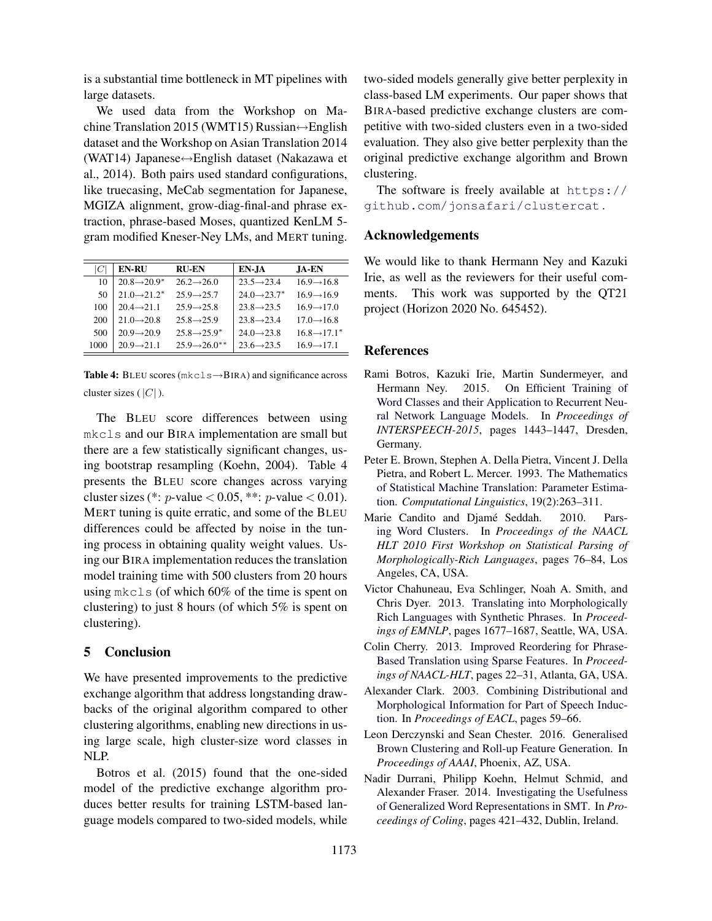is a substantial time bottleneck in MT pipelines with large datasets.

We used data from the Workshop on Machine Translation 2015 (WMT15) Russian↔English dataset and the Workshop on Asian Translation 2014 (WAT14) Japanese↔English dataset (Nakazawa et al., 2014). Both pairs used standard configurations, like truecasing, MeCab segmentation for Japanese, MGIZA alignment, grow-diag-final-and phrase extraction, phrase-based Moses, quantized KenLM 5 gram modified Kneser-Ney LMs, and MERT tuning.

| C    | <b>EN-RU</b>                         | <b>RU-EN</b>              | EN-JA                    | <b>JA-EN</b>             |
|------|--------------------------------------|---------------------------|--------------------------|--------------------------|
| 10   | $20.8 \rightarrow 20.9^*$            | $26.2 \rightarrow 26.0$   | $23.5 \rightarrow 23.4$  | $16.9 \rightarrow 16.8$  |
| 50   | $21.0 \rightarrow 21.2$ <sup>*</sup> | $25.9 \rightarrow 25.7$   | $24.0 \rightarrow 23.7*$ | $16.9 \rightarrow 16.9$  |
| 100  | $20.4 \rightarrow 21.1$              | $25.9 \rightarrow 25.8$   | $23.8 \rightarrow 23.5$  | $169 - 170$              |
| 200  | $21.0 \rightarrow 20.8$              | $25.8 \rightarrow 25.9$   | $23.8 \rightarrow 23.4$  | $17.0 \rightarrow 16.8$  |
| 500  | $20.9 \rightarrow 20.9$              | $25.8 \rightarrow 25.9^*$ | $24.0 \rightarrow 23.8$  | $16.8 \rightarrow 17.1*$ |
| 1000 | $20.9 \rightarrow 21.1$              | $25.9 \rightarrow 26.0**$ | $23.6 \rightarrow 23.5$  | $16.9 \rightarrow 17.1$  |
|      |                                      |                           |                          |                          |

Table 4: BLEU scores (mkcls→BIRA) and significance across cluster sizes ( $|C|$ ).

The BLEU score differences between using mkcls and our BIRA implementation are small but there are a few statistically significant changes, using bootstrap resampling (Koehn, 2004). Table 4 presents the BLEU score changes across varying cluster sizes (\*: p-value < 0.05, \*\*: p-value < 0.01). MERT tuning is quite erratic, and some of the BLEU differences could be affected by noise in the tuning process in obtaining quality weight values. Using our BIRA implementation reduces the translation model training time with 500 clusters from 20 hours using mkcls (of which 60% of the time is spent on clustering) to just 8 hours (of which 5% is spent on clustering).

# 5 Conclusion

We have presented improvements to the predictive exchange algorithm that address longstanding drawbacks of the original algorithm compared to other clustering algorithms, enabling new directions in using large scale, high cluster-size word classes in NLP.

Botros et al. (2015) found that the one-sided model of the predictive exchange algorithm produces better results for training LSTM-based language models compared to two-sided models, while two-sided models generally give better perplexity in class-based LM experiments. Our paper shows that BIRA-based predictive exchange clusters are competitive with two-sided clusters even in a two-sided evaluation. They also give better perplexity than the original predictive exchange algorithm and Brown clustering.

The software is freely available at https:// github.com/jonsafari/clustercat .

# Acknowledgements

We would like to thank Hermann Ney and Kazuki Irie, as well as the reviewers for their useful comments. This work was supported by the QT21 project (Horizon 2020 No. 645452).

### References

- Rami Botros, Kazuki Irie, Martin Sundermeyer, and Hermann Ney. 2015. On Efficient Training of Word Classes and their Application to Recurrent Neural Network Language Models. In *Proceedings of INTERSPEECH-2015*, pages 1443–1447, Dresden, Germany.
- Peter E. Brown, Stephen A. Della Pietra, Vincent J. Della Pietra, and Robert L. Mercer. 1993. The Mathematics of Statistical Machine Translation: Parameter Estimation. *Computational Linguistics*, 19(2):263–311.
- Marie Candito and Djamé Seddah. 2010. Parsing Word Clusters. In *Proceedings of the NAACL HLT 2010 First Workshop on Statistical Parsing of Morphologically-Rich Languages*, pages 76–84, Los Angeles, CA, USA.
- Victor Chahuneau, Eva Schlinger, Noah A. Smith, and Chris Dyer. 2013. Translating into Morphologically Rich Languages with Synthetic Phrases. In *Proceedings of EMNLP*, pages 1677–1687, Seattle, WA, USA.
- Colin Cherry. 2013. Improved Reordering for Phrase-Based Translation using Sparse Features. In *Proceedings of NAACL-HLT*, pages 22–31, Atlanta, GA, USA.
- Alexander Clark. 2003. Combining Distributional and Morphological Information for Part of Speech Induction. In *Proceedings of EACL*, pages 59–66.
- Leon Derczynski and Sean Chester. 2016. Generalised Brown Clustering and Roll-up Feature Generation. In *Proceedings of AAAI*, Phoenix, AZ, USA.
- Nadir Durrani, Philipp Koehn, Helmut Schmid, and Alexander Fraser. 2014. Investigating the Usefulness of Generalized Word Representations in SMT. In *Proceedings of Coling*, pages 421–432, Dublin, Ireland.